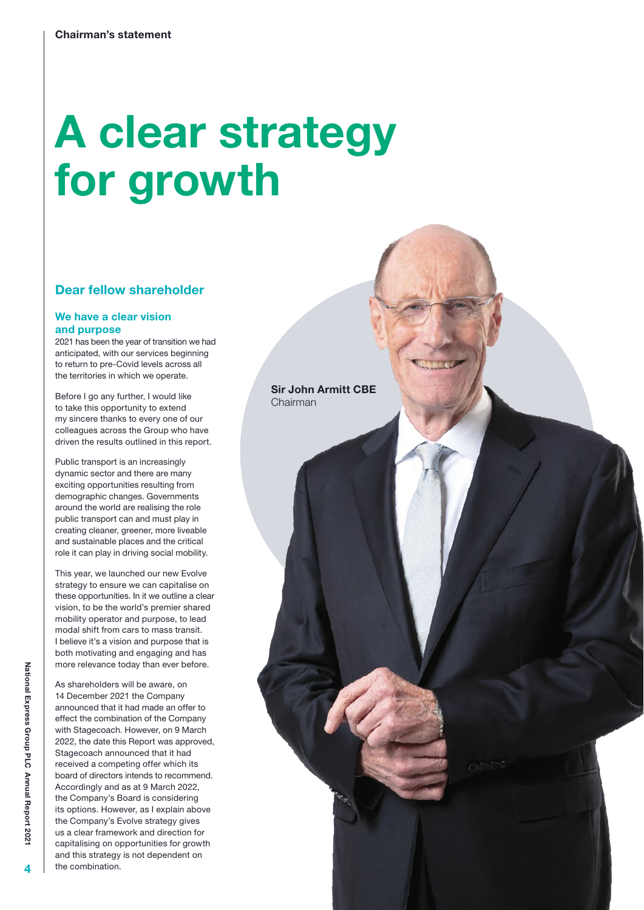# A clear strategy for growth

# Dear fellow shareholder

#### We have a clear vision and purpose

2021 has been the year of transition we had anticipated, with our services beginning to return to pre-Covid levels across all the territories in which we operate.

Before I go any further, I would like to take this opportunity to extend my sincere thanks to every one of our colleagues across the Group who have driven the results outlined in this report.

Public transport is an increasingly dynamic sector and there are many exciting opportunities resulting from demographic changes. Governments around the world are realising the role public transport can and must play in creating cleaner, greener, more liveable and sustainable places and the critical role it can play in driving social mobility.

This year, we launched our new Evolve strategy to ensure we can capitalise on these opportunities. In it we outline a clear vision, to be the world's premier shared mobility operator and purpose, to lead modal shift from cars to mass transit. I believe it's a vision and purpose that is both motivating and engaging and has more relevance today than ever before.

As shareholders will be aware, on 14 December 2021 the Company announced that it had made an offer to effect the combination of the Company with Stagecoach. However, on 9 March 2022, the date this Report was approved, Stagecoach announced that it had received a competing offer which its board of directors intends to recommend. Accordingly and as at 9 March 2022, the Company's Board is considering its options. However, as I explain above the Company's Evolve strategy gives us a clear framework and direction for capitalising on opportunities for growth and this strategy is not dependent on the combination.

Sir John Armitt CBE Chairman